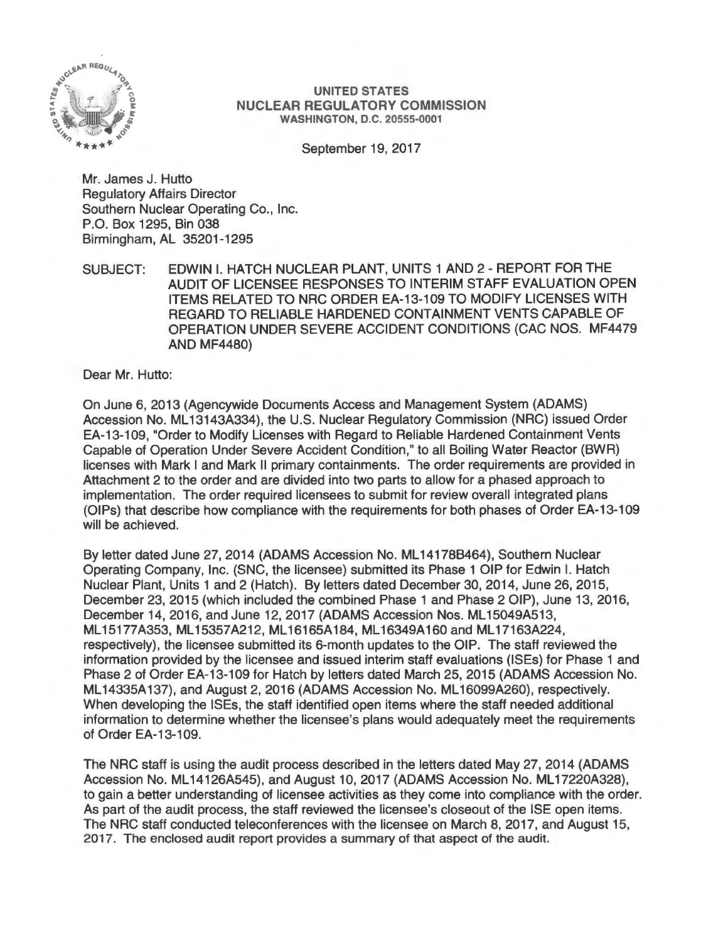

#### UNITED STATES NUCLEAR REGULATORY COMMISSION WASHINGTON, D.C. 20555-0001

September 19, 2017

Mr. James J. Hutto Regulatory Affairs Director Southern Nuclear Operating Co., Inc. P.O. Box 1295, Bin 038 Birmingham, AL 35201-1295

SUBJECT: EDWIN I. HATCH NUCLEAR PLANT, UNITS 1 AND 2 - REPORT FOR THE AUDIT OF LICENSEE RESPONSES TO INTERIM STAFF EVALUATION OPEN ITEMS RELATED TO NRG ORDER EA-13-109 TO MODIFY LICENSES WITH REGARD TO RELIABLE HARDENED CONTAINMENT VENTS CAPABLE OF OPERATION UNDER SEVERE ACCIDENT CONDITIONS (CAC NOS. MF4479 AND MF4480)

Dear Mr. Hutto:

On June 6, 2013 (Agencywide Documents Access and Management System (ADAMS) Accession No. ML 13143A334), the U.S. Nuclear Regulatory Commission (NRG) issued Order EA-13-109, "Order to Modify Licenses with Regard to Reliable Hardened Containment Vents Capable of Operation Under Severe Accident Condition," to all Boiling Water Reactor (BWR) licenses with Mark I and Mark II primary containments. The order requirements are provided in Attachment 2 to the order and are divided into two parts to allow for a phased approach to implementation. The order required licensees to submit for review overall integrated plans (OIPs) that describe how compliance with the requirements for both phases of Order EA-13-109 will be achieved.

By letter dated June 27, 2014 (ADAMS Accession No. ML 14178B464), Southern Nuclear Operating Company, Inc. (SNC, the licensee) submitted its Phase 1 OIP for Edwin I. Hatch Nuclear Plant, Units 1 and 2 (Hatch). By letters dated December 30, 2014, June 26, 2015, December 23, 2015 (which included the combined Phase 1 and Phase 2 OIP), June 13, 2016, December 14, 2016, and June 12, 2017 (ADAMS Accession Nos. ML15049A513, ML15177A353, ML15357A212, ML16165A184, ML16349A160 and ML17163A224, respectively), the licensee submitted its 6-month updates to the OIP. The staff reviewed the information provided by the licensee and issued interim staff evaluations (ISEs) for Phase 1 and Phase 2 of Order EA-13-109 for Hatch by letters dated March 25, 2015 (ADAMS Accession No. ML 14335A 137), and August 2, 2016 (ADAMS Accession No. ML 16099A260), respectively. When developing the ISEs, the staff identified open items where the staff needed additional information to determine whether the licensee's plans would adequately meet the requirements of Order EA-13-109.

The NRG staff is using the audit process described in the letters dated May 27, 2014 (ADAMS Accession No. ML14126A545), and August 10, 2017 (ADAMS Accession No. ML17220A328), to gain a better understanding of licensee activities as they come into compliance with the order. As part of the audit process, the staff reviewed the licensee's closeout of the ISE open items. The NRC staff conducted teleconferences with the licensee on March 8, 2017, and August 15, 2017. The enclosed audit report provides a summary of that aspect of the audit.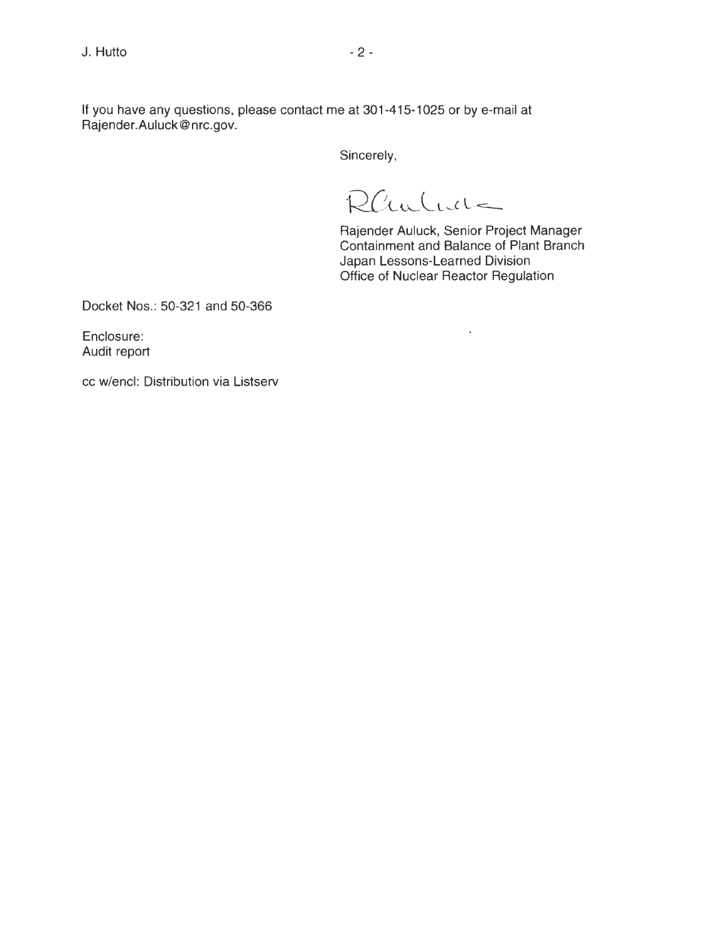If you have any questions, please contact me at 301-415-1025 or by e-mail at Rajender.Auluck@nrc.gov.

Sincerely,

Rauluch

Rajender Auluck, Senior Project Manager Containment and Balance of Plant Branch Japan Lessons-Learned Division Office of Nuclear Reactor Regulation

 $\ddot{\phantom{0}}$ 

Docket Nos.: 50-321 and 50-366

Enclosure: Audit report

cc w/encl: Distribution via Listserv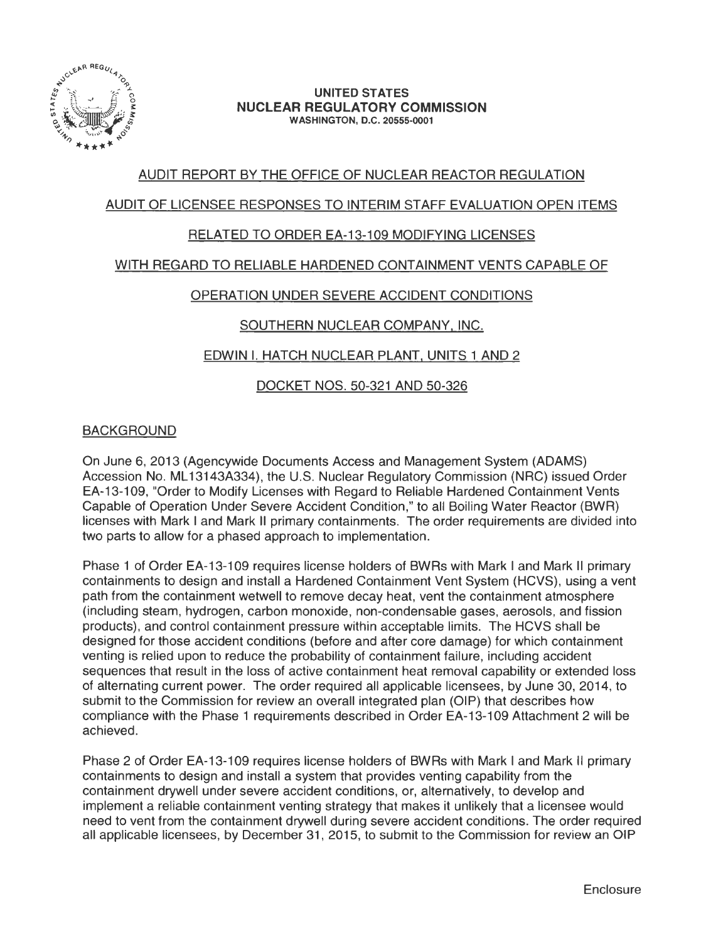

#### **UNITED STATES NUCLEAR REGULATORY COMMISSION**  WASHINGTON, D.C. 20555-0001

## AUDIT REPORT BY THE OFFICE OF NUCLEAR REACTOR REGULATION

## AUDIT OF LICENSEE RESPONSES TO INTERIM STAFF EVALUATION OPEN ITEMS

## RELATED TO ORDER EA-13-109 MODIFYING LICENSES

## WITH REGARD TO RELIABLE HARDENED CONTAINMENT VENTS CAPABLE OF

## OPERATION UNDER SEVERE ACCIDENT CONDITIONS

## SOUTHERN NUCLEAR COMPANY, INC.

## EDWIN I. HATCH NUCLEAR PLANT. UNITS 1 AND 2

## DOCKET NOS. 50-321 AND 50-326

## BACKGROUND

On June 6, 2013 (Agencywide Documents Access and Management System (ADAMS) Accession No. ML 13143A334), the U.S. Nuclear Regulatory Commission (NRG) issued Order EA-13-109, "Order to Modify Licenses with Regard to Reliable Hardened Containment Vents Capable of Operation Under Severe Accident Condition," to all Boiling Water Reactor (BWR) licenses with Mark I and Mark II primary containments. The order requirements are divided into two parts to allow for a phased approach to implementation.

Phase 1 of Order EA-13-109 requires license holders of BWRs with Mark I and Mark 11 primary containments to design and install a Hardened Containment Vent System (HCVS), using a vent path from the containment wetwell to remove decay heat, vent the containment atmosphere (including steam, hydrogen, carbon monoxide, non-condensable gases, aerosols, and fission products), and control containment pressure within acceptable limits. The HCVS shall be designed for those accident conditions (before and after core damage) for which containment venting is relied upon to reduce the probability of containment failure, including accident sequences that result in the loss of active containment heat removal capability or extended loss of alternating current power. The order required all applicable licensees, by June 30, 2014, to submit to the Commission for review an overall integrated plan (OIP) that describes how compliance with the Phase 1 requirements described in Order EA-13-109 Attachment 2 will be achieved.

Phase 2 of Order EA-13-109 requires license holders of BWRs with Mark I and Mark II primary containments to design and install a system that provides venting capability from the containment drywell under severe accident conditions, or, alternatively, to develop and implement a reliable containment venting strategy that makes it unlikely that a licensee would need to vent from the containment drywell during severe accident conditions. The order required all applicable licensees, by December 31 , 2015, to submit to the Commission for review an OIP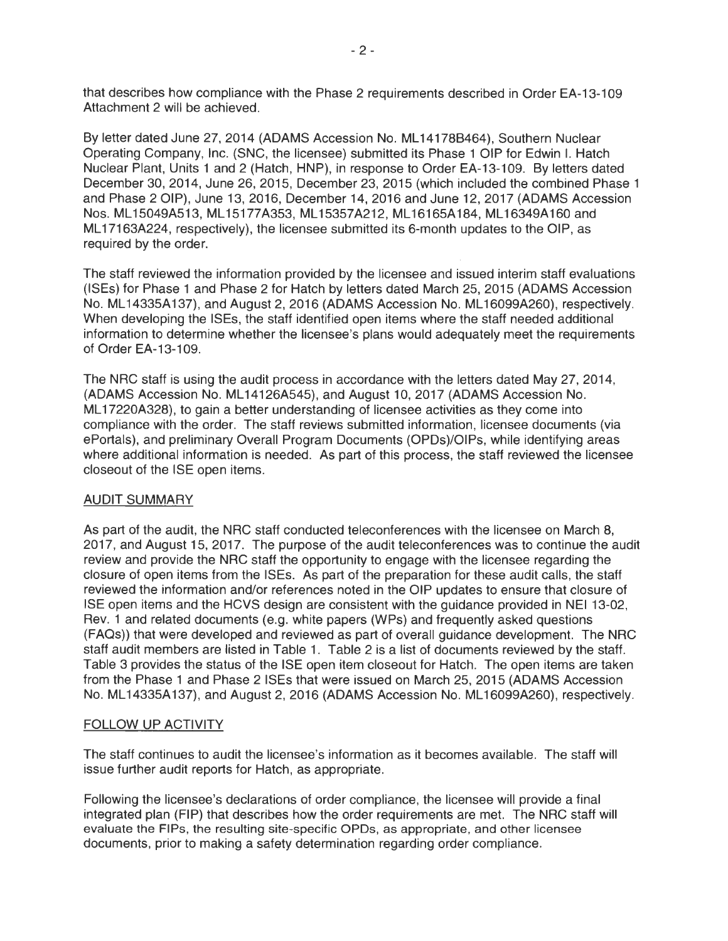that describes how compliance with the Phase 2 requirements described in Order EA-13-109 Attachment 2 will be achieved.

By letter dated June 27, 2014 (ADAMS Accession No. ML 14178B464), Southern Nuclear Operating Company, Inc. (SNC, the licensee) submitted its Phase 1 OIP for Edwin I. Hatch Nuclear Plant, Units 1 and 2 (Hatch, HNP), in response to Order EA-13-109. By letters dated December 30, 2014, June 26, 2015, December 23, 2015 (which included the combined Phase 1 and Phase 2 OIP), June 13, 2016, December 14, 2016 and June 12, 2017 (ADAMS Accession Nos. ML 15049A513, ML 15177A353, ML 15357A212, ML 16165A184, ML 16349A160 and ML17163A224, respectively), the licensee submitted its 6-month updates to the OIP, as required by the order.

The staff reviewed the information provided by the licensee and issued interim staff evaluations (ISEs) for Phase 1 and Phase 2 for Hatch by letters dated March 25, 2015 (ADAMS Accession No. ML 14335A 137), and August 2, 2016 (ADAMS Accession No. ML 16099A260), respectively. When developing the ISEs, the staff identified open items where the staff needed additional information to determine whether the licensee's plans would adequately meet the requirements of Order EA-13-109.

The NRG staff is using the audit process in accordance with the letters dated May 27, 2014, (ADAMS Accession No. ML 14126A545), and August 10, 2017 (ADAMS Accession No. ML17220A328), to gain a better understanding of licensee activities as they come into compliance with the order. The staff reviews submitted information, licensee documents (via ePortals), and preliminary Overall Program Documents (OPDs)/OIPs, while identifying areas where additional information is needed. As part of this process, the staff reviewed the licensee closeout of the ISE open items.

#### AUDIT SUMMARY

As part of the audit, the NRG staff conducted teleconferences with the licensee on March 8, 2017, and August 15, 2017. The purpose of the audit teleconferences was to continue the audit review and provide the NRG staff the opportunity to engage with the licensee regarding the closure of open items from the ISEs. As part of the preparation for these audit calls, the staff reviewed the information and/or references noted in the OIP updates to ensure that closure of ISE open items and the HCVS design are consistent with the guidance provided in NEI 13-02, Rev. 1 and related documents (e.g. white papers (WPs) and frequently asked questions (FAQs)) that were developed and reviewed as part of overall guidance development. The NRG staff audit members are listed in Table 1. Table 2 is a list of documents reviewed by the staff. Table 3 provides the status of the ISE open item closeout for Hatch. The open items are taken from the Phase 1 and Phase 2 ISEs that were issued on March 25, 2015 (ADAMS Accession No. ML14335A137), and August 2, 2016 (ADAMS Accession No. ML16099A260), respectively.

#### FOLLOW UP ACTIVITY

The staff continues to audit the licensee's information as it becomes available. The staff will issue further audit reports for Hatch, as appropriate.

Following the licensee's declarations of order compliance, the licensee will provide a final integrated plan (FIP) that describes how the order requirements are met. The NRG staff will evaluate the FIPs, the resulting site-specific OPDs, as appropriate, and other licensee documents, prior to making a safety determination regarding order compliance.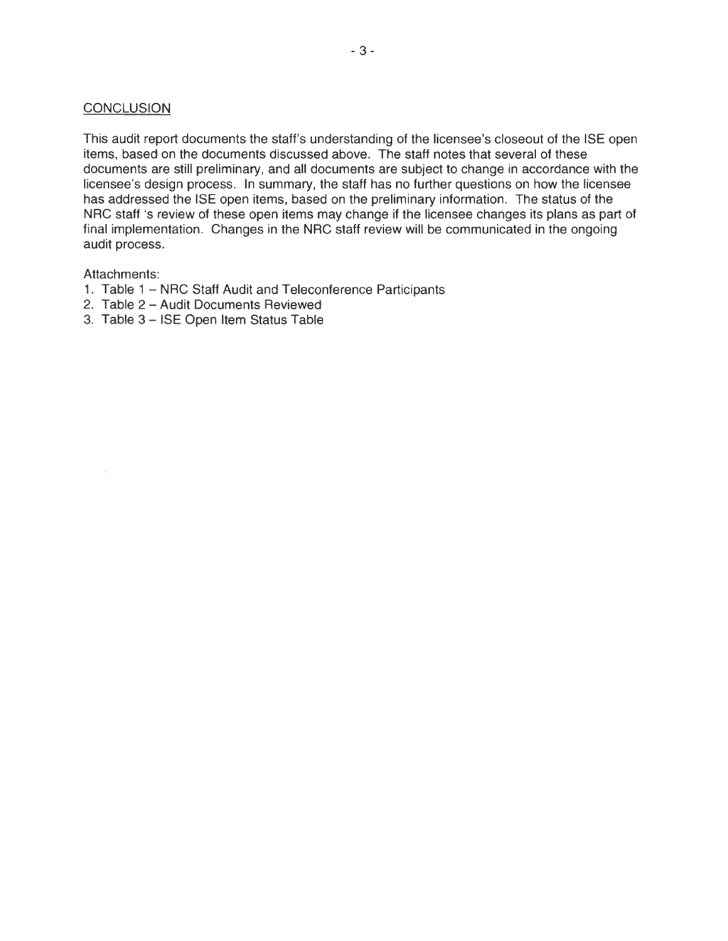#### **CONCLUSION**

This audit report documents the staff's understanding of the licensee's closeout of the ISE open items, based on the documents discussed above. The staff notes that several of these documents are still preliminary, and all documents are subject to change in accordance with the licensee's design process. In summary, the staff has no further questions on how the licensee has addressed the ISE open items, based on the preliminary information. The status of the NRC staff 's review of these open items may change if the licensee changes its plans as part of final implementation. Changes in the NRC staff review will be communicated in the ongoing audit process.

## Attachments:

- 1. Table 1 NRC Staff Audit and Teleconference Participants
- 2. Table 2 Audit Documents Reviewed
- 3. Table 3 ISE Open Item Status Table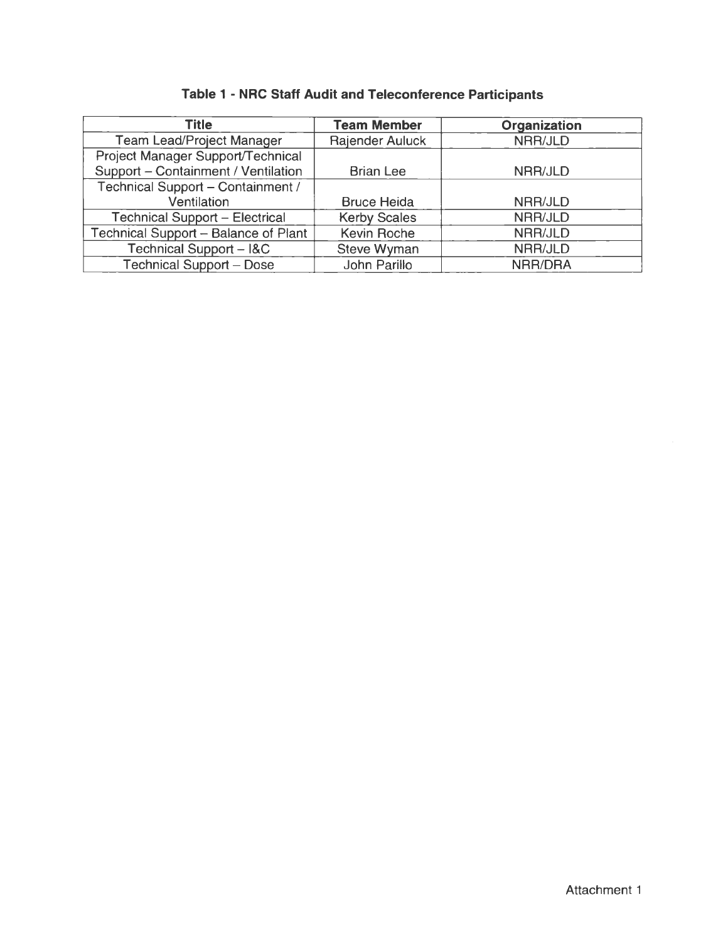| <b>Title</b>                          | <b>Team Member</b>     | <b>Organization</b> |
|---------------------------------------|------------------------|---------------------|
| <b>Team Lead/Project Manager</b>      | <b>Rajender Auluck</b> | NRR/JLD             |
| Project Manager Support/Technical     |                        |                     |
| Support - Containment / Ventilation   | <b>Brian Lee</b>       | NRR/JLD             |
| Technical Support - Containment /     |                        |                     |
| Ventilation                           | <b>Bruce Heida</b>     | NRR/JLD             |
| <b>Technical Support - Electrical</b> | <b>Kerby Scales</b>    | NRR/JLD             |
| Technical Support - Balance of Plant  | Kevin Roche            | NRR/JLD             |
| Technical Support - I&C               | <b>Steve Wyman</b>     | NRR/JLD             |
| <b>Technical Support - Dose</b>       | John Parillo           | NRR/DRA             |

# **Table 1 - NRC Staff Audit and Teleconference Participants**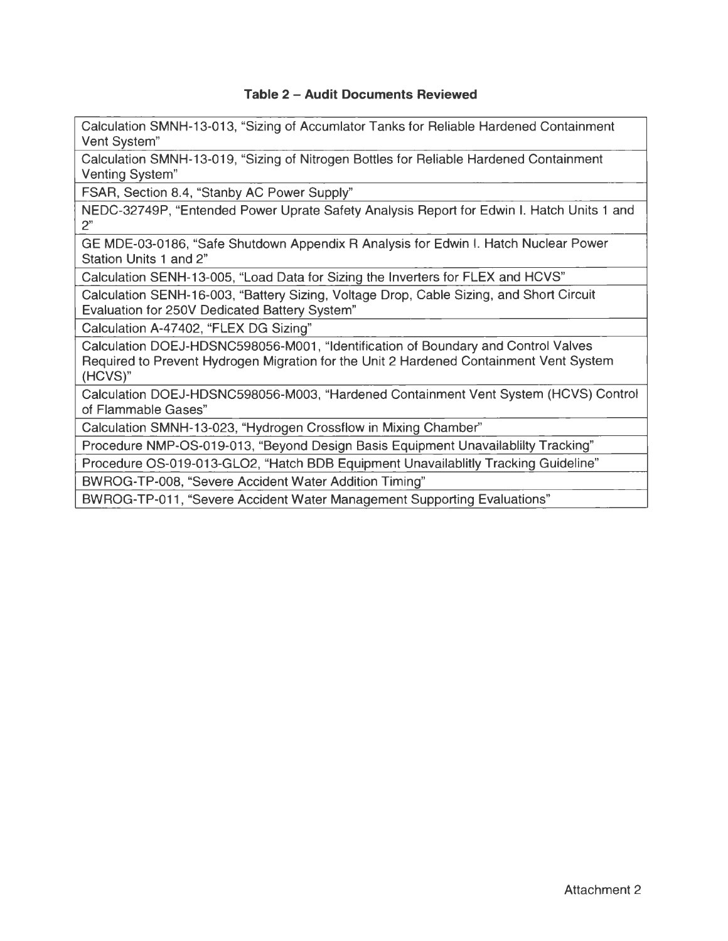## **Table 2 - Audit Documents Reviewed**

Calculation SMNH-13-013, "Sizing of Accumlator Tanks for Reliable Hardened Containment Vent System"

Calculation SMNH-13-019, "Sizing of Nitrogen Bottles for Reliable Hardened Containment Venting System"

FSAR, Section 8.4, "Stanby AC Power Supply"

NEDC-32749P, "Entended Power Uprate Safety Analysis Report for Edwin I. Hatch Units 1 and  $2"$ 

GE MDE-03-0186, "Safe Shutdown Appendix R Analysis for Edwin I. Hatch Nuclear Power Station Units 1 and 2"

Calculation SENH-13-005, "Load Data for Sizing the Inverters for FLEX and HCVS"

Calculation SENH-16-003, "Battery Sizing, Voltage Drop, Cable Sizing, and Short Circuit Evaluation for 250V Dedicated Battery System"

Calculation A-47402, "FLEX DG Sizing"

Calculation DOEJ-HDSNC598056-M001 , "Identification of Boundary and Control Valves Required to Prevent Hydrogen Migration for the Unit 2 Hardened Containment Vent System (HCVS)"

Calculation DOEJ-HDSNC598056-M003, "Hardened Containment Vent System (HCVS) Control of Flammable Gases"

Calculation SMNH-13-023, "Hydrogen Crossflow in Mixing Chamber"

Procedure NMP-OS-019-013, "Beyond Design Basis Equipment Unavailablilty Tracking"

Procedure OS-019-013-GL02, "Hatch BOB Equipment Unavailablitly Tracking Guideline"

BWROG-TP-008, "Severe Accident Water Addition Timing"

BWROG-TP-011 , "Severe Accident Water Management Supporting Evaluations"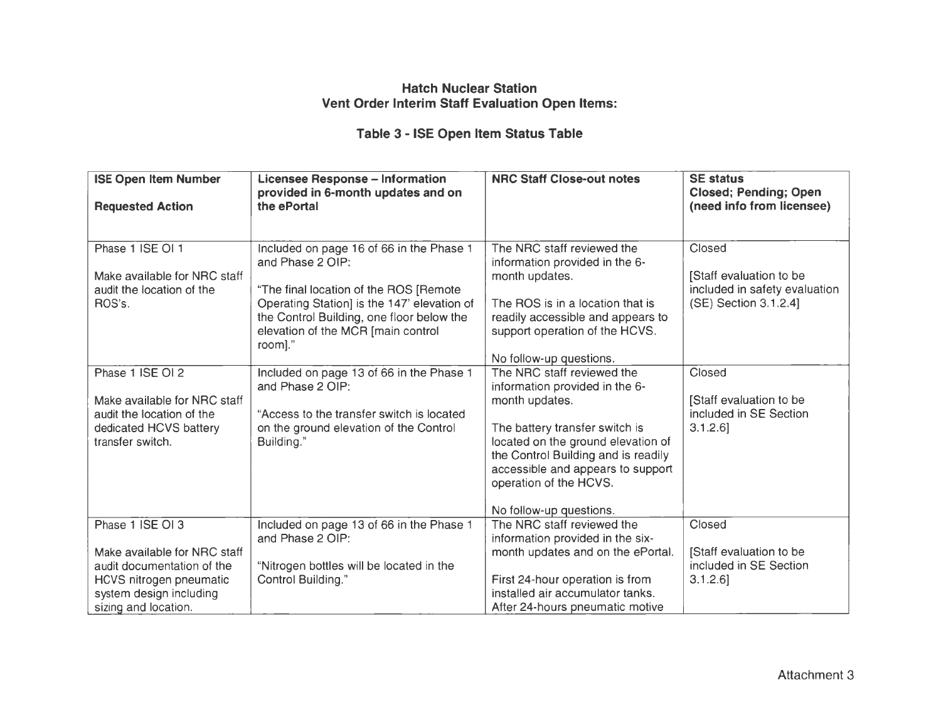## **Hatch Nuclear Station Vent Order Interim Staff Evaluation Open Items:**

# **Table 3 - ISE Open Item Status Table**

| <b>ISE Open Item Number</b><br><b>Requested Action</b>                                                                                                                                                                 | <b>Licensee Response - Information</b><br>provided in 6-month updates and on<br>the ePortal                                                                                                                                                                                                                                                                                                                              | <b>NRC Staff Close-out notes</b>                                                                                                                                                                                                                                                                                                                                                                                                                                                                                | <b>SE status</b><br><b>Closed; Pending; Open</b><br>(need info from licensee)                                                                                             |
|------------------------------------------------------------------------------------------------------------------------------------------------------------------------------------------------------------------------|--------------------------------------------------------------------------------------------------------------------------------------------------------------------------------------------------------------------------------------------------------------------------------------------------------------------------------------------------------------------------------------------------------------------------|-----------------------------------------------------------------------------------------------------------------------------------------------------------------------------------------------------------------------------------------------------------------------------------------------------------------------------------------------------------------------------------------------------------------------------------------------------------------------------------------------------------------|---------------------------------------------------------------------------------------------------------------------------------------------------------------------------|
| Phase 1 ISE OI 1<br>Make available for NRC staff<br>audit the location of the<br>ROS's.<br>Phase 1 ISE OI 2<br>Make available for NRC staff<br>audit the location of the<br>dedicated HCVS battery<br>transfer switch. | Included on page 16 of 66 in the Phase 1<br>and Phase 2 OIP:<br>"The final location of the ROS [Remote<br>Operating Station] is the 147' elevation of<br>the Control Building, one floor below the<br>elevation of the MCR [main control<br>room]."<br>Included on page 13 of 66 in the Phase 1<br>and Phase 2 OIP:<br>"Access to the transfer switch is located<br>on the ground elevation of the Control<br>Building." | The NRC staff reviewed the<br>information provided in the 6-<br>month updates.<br>The ROS is in a location that is<br>readily accessible and appears to<br>support operation of the HCVS.<br>No follow-up questions.<br>The NRC staff reviewed the<br>information provided in the 6-<br>month updates.<br>The battery transfer switch is<br>located on the ground elevation of<br>the Control Building and is readily<br>accessible and appears to support<br>operation of the HCVS.<br>No follow-up questions. | Closed<br>[Staff evaluation to be<br>included in safety evaluation<br>(SE) Section 3.1.2.4]<br>Closed<br>[Staff evaluation to be<br>included in SE Section<br>$3.1.2.6$ ] |
| Phase 1 ISE OI 3<br>Make available for NRC staff<br>audit documentation of the<br>HCVS nitrogen pneumatic<br>system design including<br>sizing and location.                                                           | Included on page 13 of 66 in the Phase 1<br>and Phase 2 OIP:<br>"Nitrogen bottles will be located in the<br>Control Building."                                                                                                                                                                                                                                                                                           | The NRC staff reviewed the<br>information provided in the six-<br>month updates and on the ePortal.<br>First 24-hour operation is from<br>installed air accumulator tanks.<br>After 24-hours pneumatic motive                                                                                                                                                                                                                                                                                                   | Closed<br>[Staff evaluation to be<br>included in SE Section<br>$3.1.2.6$ ]                                                                                                |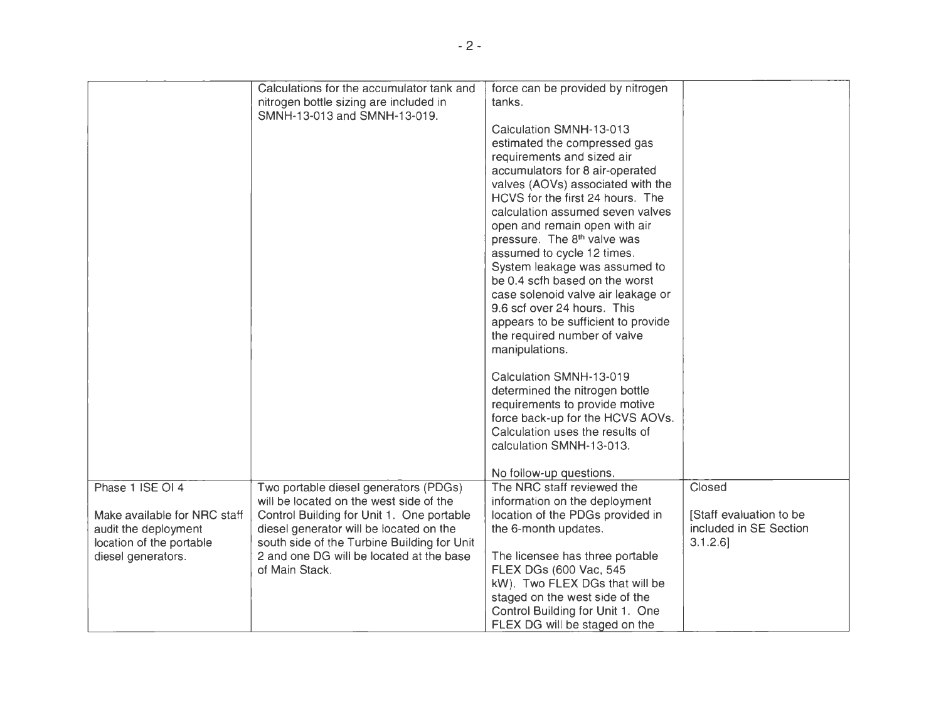|                              | Calculations for the accumulator tank and   | force can be provided by nitrogen       |                         |
|------------------------------|---------------------------------------------|-----------------------------------------|-------------------------|
|                              | nitrogen bottle sizing are included in      | tanks.                                  |                         |
|                              | SMNH-13-013 and SMNH-13-019.                |                                         |                         |
|                              |                                             | Calculation SMNH-13-013                 |                         |
|                              |                                             | estimated the compressed gas            |                         |
|                              |                                             | requirements and sized air              |                         |
|                              |                                             | accumulators for 8 air-operated         |                         |
|                              |                                             | valves (AOVs) associated with the       |                         |
|                              |                                             | HCVS for the first 24 hours. The        |                         |
|                              |                                             | calculation assumed seven valves        |                         |
|                              |                                             | open and remain open with air           |                         |
|                              |                                             | pressure. The 8 <sup>th</sup> valve was |                         |
|                              |                                             | assumed to cycle 12 times.              |                         |
|                              |                                             | System leakage was assumed to           |                         |
|                              |                                             | be 0.4 scfh based on the worst          |                         |
|                              |                                             | case solenoid valve air leakage or      |                         |
|                              |                                             | 9.6 scf over 24 hours. This             |                         |
|                              |                                             | appears to be sufficient to provide     |                         |
|                              |                                             | the required number of valve            |                         |
|                              |                                             | manipulations.                          |                         |
|                              |                                             | Calculation SMNH-13-019                 |                         |
|                              |                                             | determined the nitrogen bottle          |                         |
|                              |                                             | requirements to provide motive          |                         |
|                              |                                             | force back-up for the HCVS AOVs.        |                         |
|                              |                                             | Calculation uses the results of         |                         |
|                              |                                             | calculation SMNH-13-013.                |                         |
|                              |                                             |                                         |                         |
|                              |                                             | No follow-up questions.                 |                         |
| Phase 1 ISE OI 4             | Two portable diesel generators (PDGs)       | The NRC staff reviewed the              | Closed                  |
|                              | will be located on the west side of the     | information on the deployment           |                         |
| Make available for NRC staff | Control Building for Unit 1. One portable   | location of the PDGs provided in        | [Staff evaluation to be |
| audit the deployment         | diesel generator will be located on the     | the 6-month updates.                    | included in SE Section  |
| location of the portable     | south side of the Turbine Building for Unit |                                         | $3.1.2.6$ ]             |
| diesel generators.           | 2 and one DG will be located at the base    | The licensee has three portable         |                         |
|                              | of Main Stack.                              | FLEX DGs (600 Vac, 545                  |                         |
|                              |                                             | kW). Two FLEX DGs that will be          |                         |
|                              |                                             | staged on the west side of the          |                         |
|                              |                                             | Control Building for Unit 1. One        |                         |
|                              |                                             | FLEX DG will be staged on the           |                         |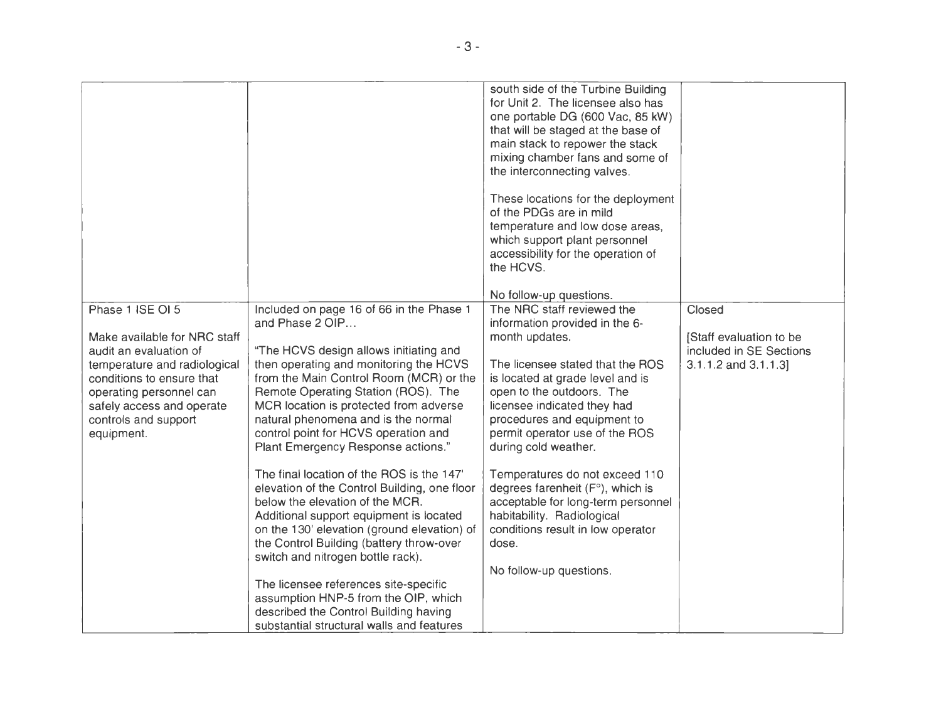|                                                                                                                                                                                                                                       |                                                                                                                                                                                                                                                                                                                                                                                                                                                                                                                                                                                                                                                                                                                                                                                                                                                                                    | south side of the Turbine Building<br>for Unit 2. The licensee also has<br>one portable DG (600 Vac, 85 kW)<br>that will be staged at the base of<br>main stack to repower the stack<br>mixing chamber fans and some of<br>the interconnecting valves.<br>These locations for the deployment<br>of the PDGs are in mild<br>temperature and low dose areas,<br>which support plant personnel<br>accessibility for the operation of<br>the HCVS.<br>No follow-up questions.                                                      |                                                                                           |
|---------------------------------------------------------------------------------------------------------------------------------------------------------------------------------------------------------------------------------------|------------------------------------------------------------------------------------------------------------------------------------------------------------------------------------------------------------------------------------------------------------------------------------------------------------------------------------------------------------------------------------------------------------------------------------------------------------------------------------------------------------------------------------------------------------------------------------------------------------------------------------------------------------------------------------------------------------------------------------------------------------------------------------------------------------------------------------------------------------------------------------|--------------------------------------------------------------------------------------------------------------------------------------------------------------------------------------------------------------------------------------------------------------------------------------------------------------------------------------------------------------------------------------------------------------------------------------------------------------------------------------------------------------------------------|-------------------------------------------------------------------------------------------|
| Phase 1 ISE OI 5<br>Make available for NRC staff<br>audit an evaluation of<br>temperature and radiological<br>conditions to ensure that<br>operating personnel can<br>safely access and operate<br>controls and support<br>equipment. | Included on page 16 of 66 in the Phase 1<br>and Phase 2 OIP<br>"The HCVS design allows initiating and<br>then operating and monitoring the HCVS<br>from the Main Control Room (MCR) or the<br>Remote Operating Station (ROS). The<br>MCR location is protected from adverse<br>natural phenomena and is the normal<br>control point for HCVS operation and<br>Plant Emergency Response actions."<br>The final location of the ROS is the 147'<br>elevation of the Control Building, one floor<br>below the elevation of the MCR.<br>Additional support equipment is located<br>on the 130' elevation (ground elevation) of<br>the Control Building (battery throw-over<br>switch and nitrogen bottle rack).<br>The licensee references site-specific<br>assumption HNP-5 from the OIP, which<br>described the Control Building having<br>substantial structural walls and features | The NRC staff reviewed the<br>information provided in the 6-<br>month updates.<br>The licensee stated that the ROS<br>is located at grade level and is<br>open to the outdoors. The<br>licensee indicated they had<br>procedures and equipment to<br>permit operator use of the ROS<br>during cold weather.<br>Temperatures do not exceed 110<br>degrees farenheit (F°), which is<br>acceptable for long-term personnel<br>habitability. Radiological<br>conditions result in low operator<br>dose.<br>No follow-up questions. | Closed<br>[Staff evaluation to be<br>included in SE Sections<br>$3.1.1.2$ and $3.1.1.3$ ] |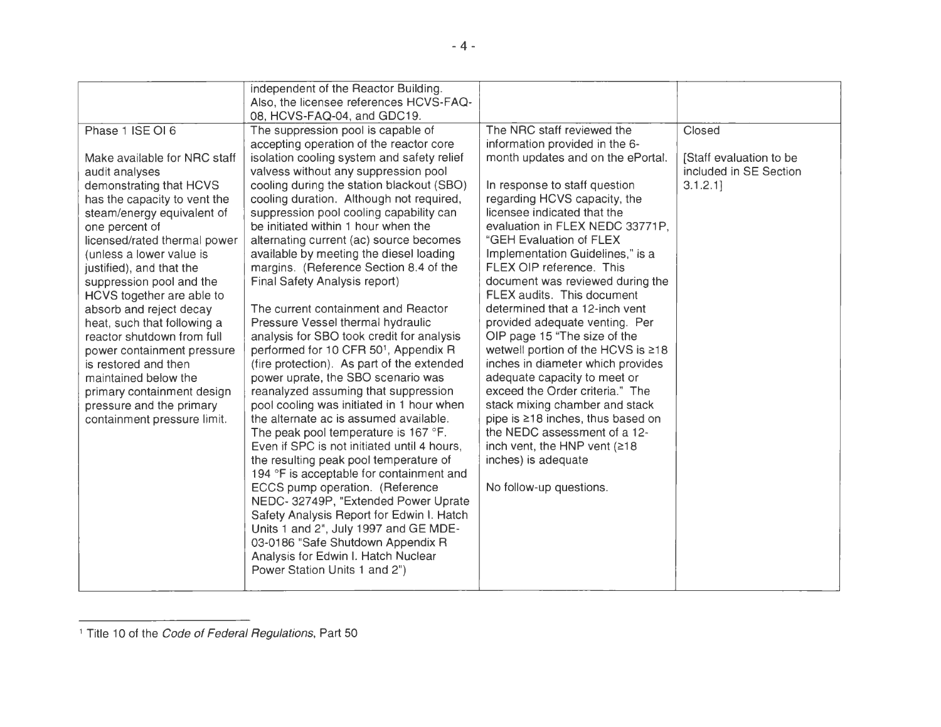|                              | independent of the Reactor Building.              |                                    |                         |
|------------------------------|---------------------------------------------------|------------------------------------|-------------------------|
|                              | Also, the licensee references HCVS-FAQ-           |                                    |                         |
|                              | 08, HCVS-FAQ-04, and GDC19.                       |                                    |                         |
| Phase 1 ISE OI 6             | The suppression pool is capable of                | The NRC staff reviewed the         | Closed                  |
|                              | accepting operation of the reactor core           | information provided in the 6-     |                         |
| Make available for NRC staff | isolation cooling system and safety relief        | month updates and on the ePortal.  | [Staff evaluation to be |
| audit analyses               | valvess without any suppression pool              |                                    | included in SE Section  |
| demonstrating that HCVS      | cooling during the station blackout (SBO)         | In response to staff question      | 3.1.2.1                 |
| has the capacity to vent the | cooling duration. Although not required,          | regarding HCVS capacity, the       |                         |
| steam/energy equivalent of   | suppression pool cooling capability can           | licensee indicated that the        |                         |
| one percent of               | be initiated within 1 hour when the               | evaluation in FLEX NEDC 33771P,    |                         |
| licensed/rated thermal power | alternating current (ac) source becomes           | "GEH Evaluation of FLEX            |                         |
| (unless a lower value is     | available by meeting the diesel loading           | Implementation Guidelines," is a   |                         |
| justified), and that the     | margins. (Reference Section 8.4 of the            | FLEX OIP reference. This           |                         |
| suppression pool and the     | Final Safety Analysis report)                     | document was reviewed during the   |                         |
| HCVS together are able to    |                                                   | FLEX audits. This document         |                         |
| absorb and reject decay      | The current containment and Reactor               | determined that a 12-inch vent     |                         |
| heat, such that following a  | Pressure Vessel thermal hydraulic                 | provided adequate venting. Per     |                         |
| reactor shutdown from full   | analysis for SBO took credit for analysis         | OIP page 15 "The size of the       |                         |
| power containment pressure   | performed for 10 CFR 50 <sup>1</sup> , Appendix R | wetwell portion of the HCVS is ≥18 |                         |
| is restored and then         | (fire protection). As part of the extended        | inches in diameter which provides  |                         |
| maintained below the         | power uprate, the SBO scenario was                | adequate capacity to meet or       |                         |
| primary containment design   | reanalyzed assuming that suppression              | exceed the Order criteria." The    |                         |
| pressure and the primary     | pool cooling was initiated in 1 hour when         | stack mixing chamber and stack     |                         |
| containment pressure limit.  | the alternate ac is assumed available.            | pipe is ≥18 inches, thus based on  |                         |
|                              | The peak pool temperature is 167 °F.              | the NEDC assessment of a 12-       |                         |
|                              | Even if SPC is not initiated until 4 hours.       | inch vent, the HNP vent (≥18       |                         |
|                              | the resulting peak pool temperature of            | inches) is adequate                |                         |
|                              | 194 °F is acceptable for containment and          |                                    |                         |
|                              | ECCS pump operation. (Reference                   | No follow-up questions.            |                         |
|                              | NEDC- 32749P, "Extended Power Uprate              |                                    |                         |
|                              | Safety Analysis Report for Edwin I. Hatch         |                                    |                         |
|                              | Units 1 and 2", July 1997 and GE MDE-             |                                    |                         |
|                              | 03-0186 "Safe Shutdown Appendix R                 |                                    |                         |
|                              | Analysis for Edwin I. Hatch Nuclear               |                                    |                         |
|                              | Power Station Units 1 and 2")                     |                                    |                         |
|                              |                                                   |                                    |                         |

<sup>&</sup>lt;sup>1</sup> Title 10 of the Code of Federal Regulations, Part 50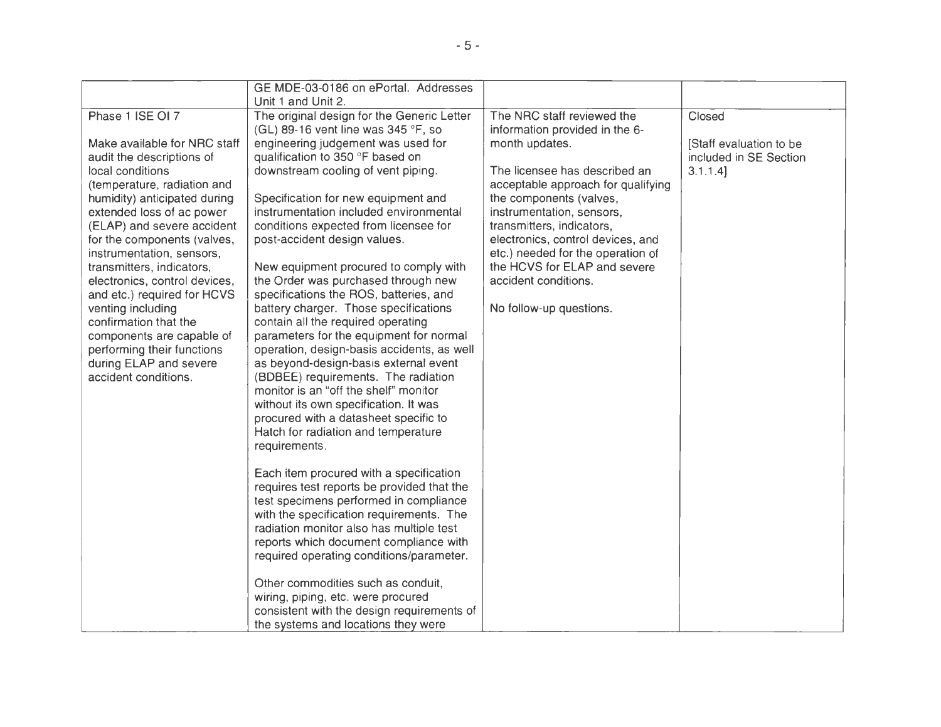| Unit 1 and Unit 2.                         |                                                                                                                                                                                                                                                                                                                                                                                                                                                                                                                                                                                                                                                                                                                                                                                                                                                                                                                                                                                                                                                                                                                                            |                                                                                                                                                                                                                                                                                                                       |
|--------------------------------------------|--------------------------------------------------------------------------------------------------------------------------------------------------------------------------------------------------------------------------------------------------------------------------------------------------------------------------------------------------------------------------------------------------------------------------------------------------------------------------------------------------------------------------------------------------------------------------------------------------------------------------------------------------------------------------------------------------------------------------------------------------------------------------------------------------------------------------------------------------------------------------------------------------------------------------------------------------------------------------------------------------------------------------------------------------------------------------------------------------------------------------------------------|-----------------------------------------------------------------------------------------------------------------------------------------------------------------------------------------------------------------------------------------------------------------------------------------------------------------------|
| The original design for the Generic Letter | The NRC staff reviewed the                                                                                                                                                                                                                                                                                                                                                                                                                                                                                                                                                                                                                                                                                                                                                                                                                                                                                                                                                                                                                                                                                                                 | Closed                                                                                                                                                                                                                                                                                                                |
| (GL) 89-16 vent line was 345 °F, so        | information provided in the 6-                                                                                                                                                                                                                                                                                                                                                                                                                                                                                                                                                                                                                                                                                                                                                                                                                                                                                                                                                                                                                                                                                                             |                                                                                                                                                                                                                                                                                                                       |
| engineering judgement was used for         | month updates.                                                                                                                                                                                                                                                                                                                                                                                                                                                                                                                                                                                                                                                                                                                                                                                                                                                                                                                                                                                                                                                                                                                             | [Staff evaluation to be                                                                                                                                                                                                                                                                                               |
|                                            |                                                                                                                                                                                                                                                                                                                                                                                                                                                                                                                                                                                                                                                                                                                                                                                                                                                                                                                                                                                                                                                                                                                                            | included in SE Section                                                                                                                                                                                                                                                                                                |
|                                            |                                                                                                                                                                                                                                                                                                                                                                                                                                                                                                                                                                                                                                                                                                                                                                                                                                                                                                                                                                                                                                                                                                                                            | $3.1.1.4$ ]                                                                                                                                                                                                                                                                                                           |
|                                            |                                                                                                                                                                                                                                                                                                                                                                                                                                                                                                                                                                                                                                                                                                                                                                                                                                                                                                                                                                                                                                                                                                                                            |                                                                                                                                                                                                                                                                                                                       |
|                                            |                                                                                                                                                                                                                                                                                                                                                                                                                                                                                                                                                                                                                                                                                                                                                                                                                                                                                                                                                                                                                                                                                                                                            |                                                                                                                                                                                                                                                                                                                       |
|                                            |                                                                                                                                                                                                                                                                                                                                                                                                                                                                                                                                                                                                                                                                                                                                                                                                                                                                                                                                                                                                                                                                                                                                            |                                                                                                                                                                                                                                                                                                                       |
|                                            |                                                                                                                                                                                                                                                                                                                                                                                                                                                                                                                                                                                                                                                                                                                                                                                                                                                                                                                                                                                                                                                                                                                                            |                                                                                                                                                                                                                                                                                                                       |
|                                            |                                                                                                                                                                                                                                                                                                                                                                                                                                                                                                                                                                                                                                                                                                                                                                                                                                                                                                                                                                                                                                                                                                                                            |                                                                                                                                                                                                                                                                                                                       |
|                                            |                                                                                                                                                                                                                                                                                                                                                                                                                                                                                                                                                                                                                                                                                                                                                                                                                                                                                                                                                                                                                                                                                                                                            |                                                                                                                                                                                                                                                                                                                       |
|                                            |                                                                                                                                                                                                                                                                                                                                                                                                                                                                                                                                                                                                                                                                                                                                                                                                                                                                                                                                                                                                                                                                                                                                            |                                                                                                                                                                                                                                                                                                                       |
|                                            |                                                                                                                                                                                                                                                                                                                                                                                                                                                                                                                                                                                                                                                                                                                                                                                                                                                                                                                                                                                                                                                                                                                                            |                                                                                                                                                                                                                                                                                                                       |
|                                            |                                                                                                                                                                                                                                                                                                                                                                                                                                                                                                                                                                                                                                                                                                                                                                                                                                                                                                                                                                                                                                                                                                                                            |                                                                                                                                                                                                                                                                                                                       |
|                                            |                                                                                                                                                                                                                                                                                                                                                                                                                                                                                                                                                                                                                                                                                                                                                                                                                                                                                                                                                                                                                                                                                                                                            |                                                                                                                                                                                                                                                                                                                       |
|                                            |                                                                                                                                                                                                                                                                                                                                                                                                                                                                                                                                                                                                                                                                                                                                                                                                                                                                                                                                                                                                                                                                                                                                            |                                                                                                                                                                                                                                                                                                                       |
|                                            |                                                                                                                                                                                                                                                                                                                                                                                                                                                                                                                                                                                                                                                                                                                                                                                                                                                                                                                                                                                                                                                                                                                                            |                                                                                                                                                                                                                                                                                                                       |
|                                            |                                                                                                                                                                                                                                                                                                                                                                                                                                                                                                                                                                                                                                                                                                                                                                                                                                                                                                                                                                                                                                                                                                                                            |                                                                                                                                                                                                                                                                                                                       |
|                                            |                                                                                                                                                                                                                                                                                                                                                                                                                                                                                                                                                                                                                                                                                                                                                                                                                                                                                                                                                                                                                                                                                                                                            |                                                                                                                                                                                                                                                                                                                       |
| monitor is an "off the shelf" monitor      |                                                                                                                                                                                                                                                                                                                                                                                                                                                                                                                                                                                                                                                                                                                                                                                                                                                                                                                                                                                                                                                                                                                                            |                                                                                                                                                                                                                                                                                                                       |
|                                            |                                                                                                                                                                                                                                                                                                                                                                                                                                                                                                                                                                                                                                                                                                                                                                                                                                                                                                                                                                                                                                                                                                                                            |                                                                                                                                                                                                                                                                                                                       |
| procured with a datasheet specific to      |                                                                                                                                                                                                                                                                                                                                                                                                                                                                                                                                                                                                                                                                                                                                                                                                                                                                                                                                                                                                                                                                                                                                            |                                                                                                                                                                                                                                                                                                                       |
| Hatch for radiation and temperature        |                                                                                                                                                                                                                                                                                                                                                                                                                                                                                                                                                                                                                                                                                                                                                                                                                                                                                                                                                                                                                                                                                                                                            |                                                                                                                                                                                                                                                                                                                       |
| requirements.                              |                                                                                                                                                                                                                                                                                                                                                                                                                                                                                                                                                                                                                                                                                                                                                                                                                                                                                                                                                                                                                                                                                                                                            |                                                                                                                                                                                                                                                                                                                       |
|                                            |                                                                                                                                                                                                                                                                                                                                                                                                                                                                                                                                                                                                                                                                                                                                                                                                                                                                                                                                                                                                                                                                                                                                            |                                                                                                                                                                                                                                                                                                                       |
| Each item procured with a specification    |                                                                                                                                                                                                                                                                                                                                                                                                                                                                                                                                                                                                                                                                                                                                                                                                                                                                                                                                                                                                                                                                                                                                            |                                                                                                                                                                                                                                                                                                                       |
|                                            |                                                                                                                                                                                                                                                                                                                                                                                                                                                                                                                                                                                                                                                                                                                                                                                                                                                                                                                                                                                                                                                                                                                                            |                                                                                                                                                                                                                                                                                                                       |
|                                            |                                                                                                                                                                                                                                                                                                                                                                                                                                                                                                                                                                                                                                                                                                                                                                                                                                                                                                                                                                                                                                                                                                                                            |                                                                                                                                                                                                                                                                                                                       |
|                                            |                                                                                                                                                                                                                                                                                                                                                                                                                                                                                                                                                                                                                                                                                                                                                                                                                                                                                                                                                                                                                                                                                                                                            |                                                                                                                                                                                                                                                                                                                       |
|                                            |                                                                                                                                                                                                                                                                                                                                                                                                                                                                                                                                                                                                                                                                                                                                                                                                                                                                                                                                                                                                                                                                                                                                            |                                                                                                                                                                                                                                                                                                                       |
|                                            |                                                                                                                                                                                                                                                                                                                                                                                                                                                                                                                                                                                                                                                                                                                                                                                                                                                                                                                                                                                                                                                                                                                                            |                                                                                                                                                                                                                                                                                                                       |
|                                            |                                                                                                                                                                                                                                                                                                                                                                                                                                                                                                                                                                                                                                                                                                                                                                                                                                                                                                                                                                                                                                                                                                                                            |                                                                                                                                                                                                                                                                                                                       |
|                                            |                                                                                                                                                                                                                                                                                                                                                                                                                                                                                                                                                                                                                                                                                                                                                                                                                                                                                                                                                                                                                                                                                                                                            |                                                                                                                                                                                                                                                                                                                       |
|                                            |                                                                                                                                                                                                                                                                                                                                                                                                                                                                                                                                                                                                                                                                                                                                                                                                                                                                                                                                                                                                                                                                                                                                            |                                                                                                                                                                                                                                                                                                                       |
|                                            |                                                                                                                                                                                                                                                                                                                                                                                                                                                                                                                                                                                                                                                                                                                                                                                                                                                                                                                                                                                                                                                                                                                                            |                                                                                                                                                                                                                                                                                                                       |
|                                            |                                                                                                                                                                                                                                                                                                                                                                                                                                                                                                                                                                                                                                                                                                                                                                                                                                                                                                                                                                                                                                                                                                                                            |                                                                                                                                                                                                                                                                                                                       |
|                                            | GE MDE-03-0186 on ePortal. Addresses<br>qualification to 350 °F based on<br>downstream cooling of vent piping.<br>Specification for new equipment and<br>instrumentation included environmental<br>conditions expected from licensee for<br>post-accident design values.<br>New equipment procured to comply with<br>the Order was purchased through new<br>specifications the ROS, batteries, and<br>battery charger. Those specifications<br>contain all the required operating<br>parameters for the equipment for normal<br>operation, design-basis accidents, as well<br>as beyond-design-basis external event<br>(BDBEE) requirements. The radiation<br>without its own specification. It was<br>requires test reports be provided that the<br>test specimens performed in compliance<br>with the specification requirements. The<br>radiation monitor also has multiple test<br>reports which document compliance with<br>required operating conditions/parameter.<br>Other commodities such as conduit,<br>wiring, piping, etc. were procured<br>consistent with the design requirements of<br>the systems and locations they were | The licensee has described an<br>acceptable approach for qualifying<br>the components (valves,<br>instrumentation, sensors,<br>transmitters, indicators,<br>electronics, control devices, and<br>etc.) needed for the operation of<br>the HCVS for ELAP and severe<br>accident conditions.<br>No follow-up questions. |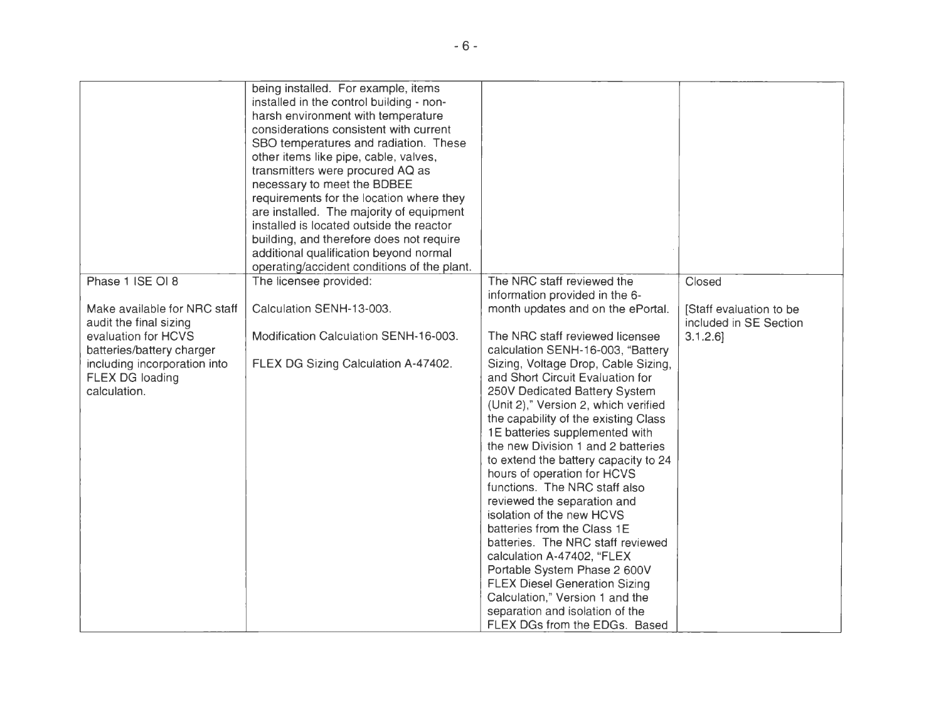|                                                                                              | being installed. For example, items<br>installed in the control building - non-<br>harsh environment with temperature<br>considerations consistent with current<br>SBO temperatures and radiation. These<br>other items like pipe, cable, valves,<br>transmitters were procured AQ as<br>necessary to meet the BDBEE<br>requirements for the location where they<br>are installed. The majority of equipment<br>installed is located outside the reactor |                                                                                                                                                                                                                                                                                                                                                                                                                                                                                                                                                                                                                                                                                                                       |                                                  |
|----------------------------------------------------------------------------------------------|----------------------------------------------------------------------------------------------------------------------------------------------------------------------------------------------------------------------------------------------------------------------------------------------------------------------------------------------------------------------------------------------------------------------------------------------------------|-----------------------------------------------------------------------------------------------------------------------------------------------------------------------------------------------------------------------------------------------------------------------------------------------------------------------------------------------------------------------------------------------------------------------------------------------------------------------------------------------------------------------------------------------------------------------------------------------------------------------------------------------------------------------------------------------------------------------|--------------------------------------------------|
|                                                                                              | building, and therefore does not require                                                                                                                                                                                                                                                                                                                                                                                                                 |                                                                                                                                                                                                                                                                                                                                                                                                                                                                                                                                                                                                                                                                                                                       |                                                  |
|                                                                                              | additional qualification beyond normal<br>operating/accident conditions of the plant.                                                                                                                                                                                                                                                                                                                                                                    |                                                                                                                                                                                                                                                                                                                                                                                                                                                                                                                                                                                                                                                                                                                       |                                                  |
| Phase 1 ISE OI 8                                                                             | The licensee provided:                                                                                                                                                                                                                                                                                                                                                                                                                                   | The NRC staff reviewed the<br>information provided in the 6-                                                                                                                                                                                                                                                                                                                                                                                                                                                                                                                                                                                                                                                          | Closed                                           |
| Make available for NRC staff<br>audit the final sizing                                       | Calculation SENH-13-003.                                                                                                                                                                                                                                                                                                                                                                                                                                 | month updates and on the ePortal.                                                                                                                                                                                                                                                                                                                                                                                                                                                                                                                                                                                                                                                                                     | Staff evaluation to be<br>included in SE Section |
| evaluation for HCVS                                                                          | Modification Calculation SENH-16-003.                                                                                                                                                                                                                                                                                                                                                                                                                    | The NRC staff reviewed licensee<br>calculation SENH-16-003, "Battery                                                                                                                                                                                                                                                                                                                                                                                                                                                                                                                                                                                                                                                  | 3.1.2.6                                          |
| batteries/battery charger<br>including incorporation into<br>FLEX DG loading<br>calculation. | FLEX DG Sizing Calculation A-47402.                                                                                                                                                                                                                                                                                                                                                                                                                      | Sizing, Voltage Drop, Cable Sizing,<br>and Short Circuit Evaluation for<br>250V Dedicated Battery System<br>(Unit 2)," Version 2, which verified<br>the capability of the existing Class<br>1E batteries supplemented with<br>the new Division 1 and 2 batteries<br>to extend the battery capacity to 24<br>hours of operation for HCVS<br>functions. The NRC staff also<br>reviewed the separation and<br>isolation of the new HCVS<br>batteries from the Class 1E<br>batteries. The NRC staff reviewed<br>calculation A-47402, "FLEX<br>Portable System Phase 2 600V<br><b>FLEX Diesel Generation Sizing</b><br>Calculation," Version 1 and the<br>separation and isolation of the<br>FLEX DGs from the EDGs. Based |                                                  |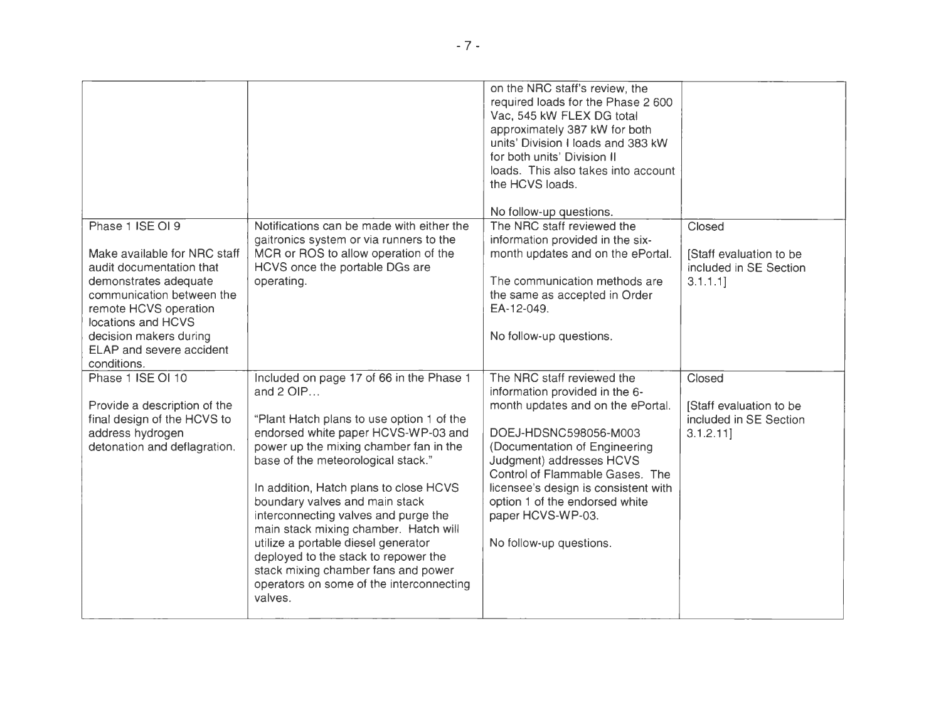| Phase 1 ISE OI 9<br>Make available for NRC staff<br>audit documentation that<br>demonstrates adequate<br>communication between the<br>remote HCVS operation<br>locations and HCVS<br>decision makers during<br>ELAP and severe accident<br>conditions. | Notifications can be made with either the<br>gaitronics system or via runners to the<br>MCR or ROS to allow operation of the<br>HCVS once the portable DGs are<br>operating.                                                                                                                                                                                                                                                                                                                                                                                          | on the NRC staff's review, the<br>required loads for the Phase 2 600<br>Vac, 545 kW FLEX DG total<br>approximately 387 kW for both<br>units' Division I loads and 383 kW<br>for both units' Division II<br>loads. This also takes into account<br>the HCVS loads.<br>No follow-up questions.<br>The NRC staff reviewed the<br>information provided in the six-<br>month updates and on the ePortal.<br>The communication methods are<br>the same as accepted in Order<br>EA-12-049.<br>No follow-up questions. | Closed<br>[Staff evaluation to be<br>included in SE Section<br>3.1.1.1   |
|--------------------------------------------------------------------------------------------------------------------------------------------------------------------------------------------------------------------------------------------------------|-----------------------------------------------------------------------------------------------------------------------------------------------------------------------------------------------------------------------------------------------------------------------------------------------------------------------------------------------------------------------------------------------------------------------------------------------------------------------------------------------------------------------------------------------------------------------|----------------------------------------------------------------------------------------------------------------------------------------------------------------------------------------------------------------------------------------------------------------------------------------------------------------------------------------------------------------------------------------------------------------------------------------------------------------------------------------------------------------|--------------------------------------------------------------------------|
| Phase 1 ISE OI 10<br>Provide a description of the<br>final design of the HCVS to<br>address hydrogen<br>detonation and deflagration.                                                                                                                   | Included on page 17 of 66 in the Phase 1<br>and $2$ OIP<br>"Plant Hatch plans to use option 1 of the<br>endorsed white paper HCVS-WP-03 and<br>power up the mixing chamber fan in the<br>base of the meteorological stack."<br>In addition, Hatch plans to close HCVS<br>boundary valves and main stack<br>interconnecting valves and purge the<br>main stack mixing chamber. Hatch will<br>utilize a portable diesel generator<br>deployed to the stack to repower the<br>stack mixing chamber fans and power<br>operators on some of the interconnecting<br>valves. | The NRC staff reviewed the<br>information provided in the 6-<br>month updates and on the ePortal.<br>DOEJ-HDSNC598056-M003<br>(Documentation of Engineering<br>Judgment) addresses HCVS<br>Control of Flammable Gases. The<br>licensee's design is consistent with<br>option 1 of the endorsed white<br>paper HCVS-WP-03.<br>No follow-up questions.                                                                                                                                                           | Closed<br>[Staff evaluation to be<br>included in SE Section<br>3.1.2.11] |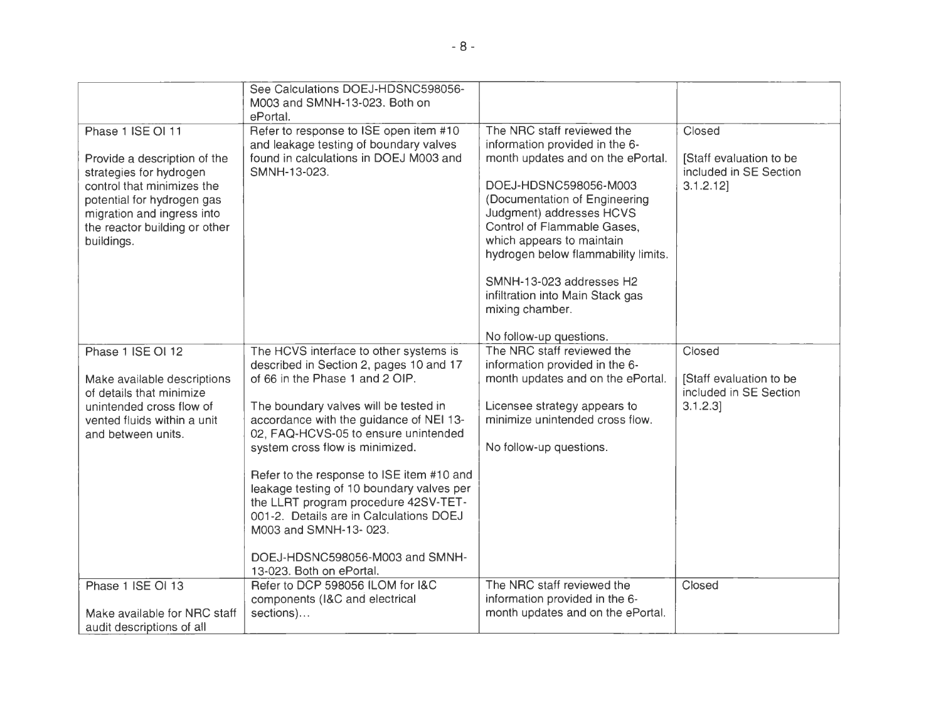|                                                                                                                                                                                                                       | See Calculations DOEJ-HDSNC598056-<br>M003 and SMNH-13-023. Both on<br>ePortal.                                                                                                                                                                                                                                                                                                                                                                                                                                                                          |                                                                                                                                                                                                                                                                                                                                                                                                          |                                                                          |
|-----------------------------------------------------------------------------------------------------------------------------------------------------------------------------------------------------------------------|----------------------------------------------------------------------------------------------------------------------------------------------------------------------------------------------------------------------------------------------------------------------------------------------------------------------------------------------------------------------------------------------------------------------------------------------------------------------------------------------------------------------------------------------------------|----------------------------------------------------------------------------------------------------------------------------------------------------------------------------------------------------------------------------------------------------------------------------------------------------------------------------------------------------------------------------------------------------------|--------------------------------------------------------------------------|
| Phase 1 ISE OI 11<br>Provide a description of the<br>strategies for hydrogen<br>control that minimizes the<br>potential for hydrogen gas<br>migration and ingress into<br>the reactor building or other<br>buildings. | Refer to response to ISE open item #10<br>and leakage testing of boundary valves<br>found in calculations in DOEJ M003 and<br>SMNH-13-023.                                                                                                                                                                                                                                                                                                                                                                                                               | The NRC staff reviewed the<br>information provided in the 6-<br>month updates and on the ePortal.<br>DOEJ-HDSNC598056-M003<br>(Documentation of Engineering<br>Judgment) addresses HCVS<br>Control of Flammable Gases,<br>which appears to maintain<br>hydrogen below flammability limits.<br>SMNH-13-023 addresses H2<br>infiltration into Main Stack gas<br>mixing chamber.<br>No follow-up questions. | Closed<br>[Staff evaluation to be<br>included in SE Section<br>3.1.2.12] |
| Phase 1 ISE OI 12<br>Make available descriptions<br>of details that minimize<br>unintended cross flow of<br>vented fluids within a unit<br>and between units.                                                         | The HCVS interface to other systems is<br>described in Section 2, pages 10 and 17<br>of 66 in the Phase 1 and 2 OIP.<br>The boundary valves will be tested in<br>accordance with the guidance of NEI 13-<br>02, FAQ-HCVS-05 to ensure unintended<br>system cross flow is minimized.<br>Refer to the response to ISE item #10 and<br>leakage testing of 10 boundary valves per<br>the LLRT program procedure 42SV-TET-<br>001-2. Details are in Calculations DOEJ<br>M003 and SMNH-13-023.<br>DOEJ-HDSNC598056-M003 and SMNH-<br>13-023. Both on ePortal. | The NRC staff reviewed the<br>information provided in the 6-<br>month updates and on the ePortal.<br>Licensee strategy appears to<br>minimize unintended cross flow.<br>No follow-up questions.                                                                                                                                                                                                          | Closed<br>[Staff evaluation to be<br>included in SE Section<br>3.1.2.3]  |
| Phase 1 ISE OI 13                                                                                                                                                                                                     | Refer to DCP 598056 ILOM for I&C<br>components (I&C and electrical                                                                                                                                                                                                                                                                                                                                                                                                                                                                                       | The NRC staff reviewed the<br>information provided in the 6-                                                                                                                                                                                                                                                                                                                                             | Closed                                                                   |
| Make available for NRC staff<br>audit descriptions of all                                                                                                                                                             | sections)                                                                                                                                                                                                                                                                                                                                                                                                                                                                                                                                                | month updates and on the ePortal.                                                                                                                                                                                                                                                                                                                                                                        |                                                                          |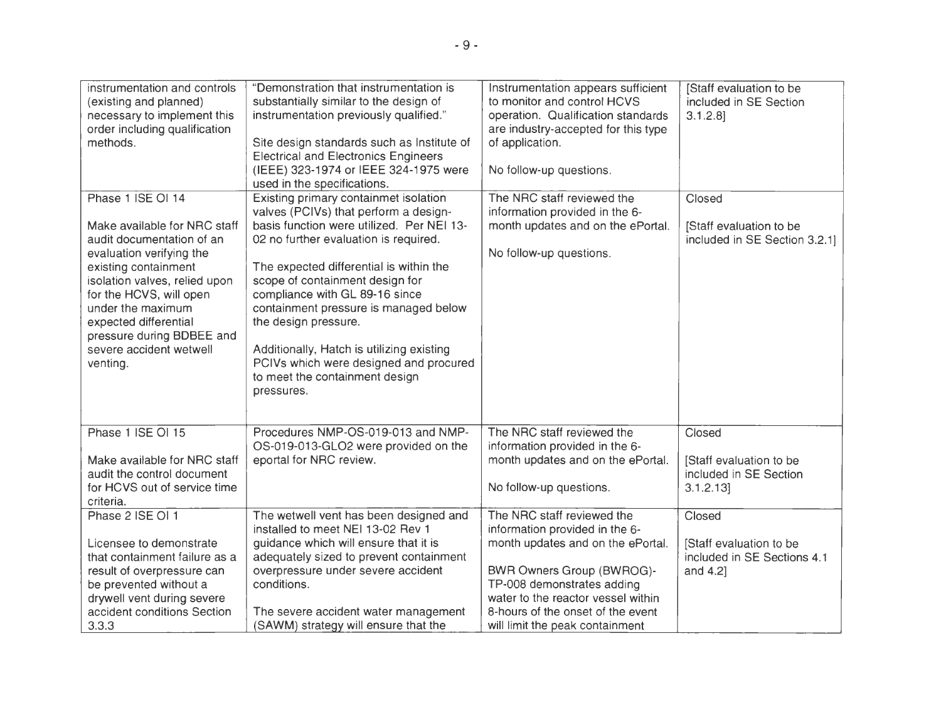| instrumentation and controls<br>(existing and planned)<br>necessary to implement this<br>order including qualification<br>methods.                                                                                                                                                                               | "Demonstration that instrumentation is<br>substantially similar to the design of<br>instrumentation previously qualified."<br>Site design standards such as Institute of<br><b>Electrical and Electronics Engineers</b><br>(IEEE) 323-1974 or IEEE 324-1975 were<br>used in the specifications.                                                                                                                                                                                              | Instrumentation appears sufficient<br>to monitor and control HCVS<br>operation. Qualification standards<br>are industry-accepted for this type<br>of application.<br>No follow-up questions.                                                                               | [Staff evaluation to be<br>included in SE Section<br>$3.1.2.8$ ]             |
|------------------------------------------------------------------------------------------------------------------------------------------------------------------------------------------------------------------------------------------------------------------------------------------------------------------|----------------------------------------------------------------------------------------------------------------------------------------------------------------------------------------------------------------------------------------------------------------------------------------------------------------------------------------------------------------------------------------------------------------------------------------------------------------------------------------------|----------------------------------------------------------------------------------------------------------------------------------------------------------------------------------------------------------------------------------------------------------------------------|------------------------------------------------------------------------------|
| Phase 1 ISE OI 14<br>Make available for NRC staff<br>audit documentation of an<br>evaluation verifying the<br>existing containment<br>isolation valves, relied upon<br>for the HCVS, will open<br>under the maximum<br>expected differential<br>pressure during BDBEE and<br>severe accident wetwell<br>venting. | Existing primary containmet isolation<br>valves (PCIVs) that perform a design-<br>basis function were utilized. Per NEI 13-<br>02 no further evaluation is required.<br>The expected differential is within the<br>scope of containment design for<br>compliance with GL 89-16 since<br>containment pressure is managed below<br>the design pressure.<br>Additionally, Hatch is utilizing existing<br>PCIVs which were designed and procured<br>to meet the containment design<br>pressures. | The NRC staff reviewed the<br>information provided in the 6-<br>month updates and on the ePortal.<br>No follow-up questions.                                                                                                                                               | Closed<br>[Staff evaluation to be<br>included in SE Section 3.2.1]           |
| Phase 1 ISE OI 15<br>Make available for NRC staff<br>audit the control document<br>for HCVS out of service time<br>criteria.                                                                                                                                                                                     | Procedures NMP-OS-019-013 and NMP-<br>OS-019-013-GLO2 were provided on the<br>eportal for NRC review.                                                                                                                                                                                                                                                                                                                                                                                        | The NRC staff reviewed the<br>information provided in the 6-<br>month updates and on the ePortal.<br>No follow-up questions.                                                                                                                                               | Closed<br>[Staff evaluation to be<br>included in SE Section<br>3.1.2.13]     |
| Phase 2 ISE OI 1<br>Licensee to demonstrate<br>that containment failure as a<br>result of overpressure can<br>be prevented without a<br>drywell vent during severe<br>accident conditions Section<br>3.3.3                                                                                                       | The wetwell vent has been designed and<br>installed to meet NEI 13-02 Rev 1<br>quidance which will ensure that it is<br>adequately sized to prevent containment<br>overpressure under severe accident<br>conditions.<br>The severe accident water management<br>(SAWM) strategy will ensure that the                                                                                                                                                                                         | The NRC staff reviewed the<br>information provided in the 6-<br>month updates and on the ePortal.<br>BWR Owners Group (BWROG)-<br>TP-008 demonstrates adding<br>water to the reactor vessel within<br>8-hours of the onset of the event<br>will limit the peak containment | Closed<br>[Staff evaluation to be<br>included in SE Sections 4.1<br>and 4.2] |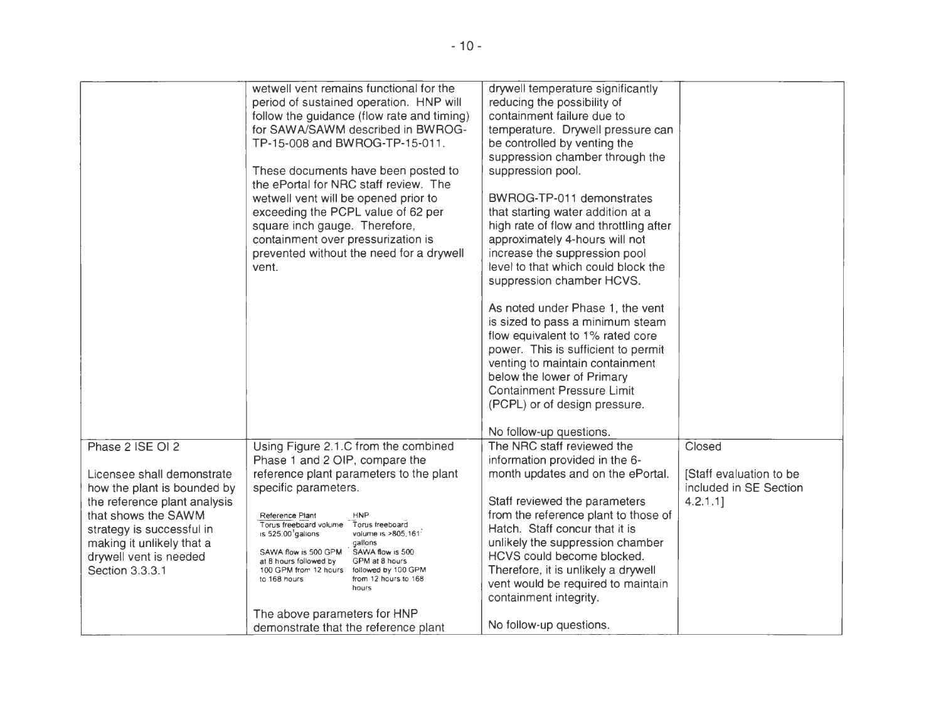|                                                           | wetwell vent remains functional for the<br>period of sustained operation. HNP will<br>follow the guidance (flow rate and timing)<br>for SAWA/SAWM described in BWROG-<br>TP-15-008 and BWROG-TP-15-011.<br>These documents have been posted to<br>the ePortal for NRC staff review. The<br>wetwell vent will be opened prior to<br>exceeding the PCPL value of 62 per<br>square inch gauge. Therefore,<br>containment over pressurization is<br>prevented without the need for a drywell<br>vent. | drywell temperature significantly<br>reducing the possibility of<br>containment failure due to<br>temperature. Drywell pressure can<br>be controlled by venting the<br>suppression chamber through the<br>suppression pool.<br>BWROG-TP-011 demonstrates<br>that starting water addition at a<br>high rate of flow and throttling after<br>approximately 4-hours will not<br>increase the suppression pool<br>level to that which could block the<br>suppression chamber HCVS.<br>As noted under Phase 1, the vent<br>is sized to pass a minimum steam<br>flow equivalent to 1% rated core<br>power. This is sufficient to permit<br>venting to maintain containment<br>below the lower of Primary<br><b>Containment Pressure Limit</b><br>(PCPL) or of design pressure. |                                                   |
|-----------------------------------------------------------|---------------------------------------------------------------------------------------------------------------------------------------------------------------------------------------------------------------------------------------------------------------------------------------------------------------------------------------------------------------------------------------------------------------------------------------------------------------------------------------------------|--------------------------------------------------------------------------------------------------------------------------------------------------------------------------------------------------------------------------------------------------------------------------------------------------------------------------------------------------------------------------------------------------------------------------------------------------------------------------------------------------------------------------------------------------------------------------------------------------------------------------------------------------------------------------------------------------------------------------------------------------------------------------|---------------------------------------------------|
|                                                           |                                                                                                                                                                                                                                                                                                                                                                                                                                                                                                   | No follow-up questions.                                                                                                                                                                                                                                                                                                                                                                                                                                                                                                                                                                                                                                                                                                                                                  |                                                   |
| Phase 2 ISE OI 2                                          | Using Figure 2.1.C from the combined                                                                                                                                                                                                                                                                                                                                                                                                                                                              | The NRC staff reviewed the                                                                                                                                                                                                                                                                                                                                                                                                                                                                                                                                                                                                                                                                                                                                               | Closed                                            |
|                                                           | Phase 1 and 2 OIP, compare the<br>reference plant parameters to the plant                                                                                                                                                                                                                                                                                                                                                                                                                         | information provided in the 6-<br>month updates and on the ePortal.                                                                                                                                                                                                                                                                                                                                                                                                                                                                                                                                                                                                                                                                                                      |                                                   |
| Licensee shall demonstrate<br>how the plant is bounded by | specific parameters.                                                                                                                                                                                                                                                                                                                                                                                                                                                                              |                                                                                                                                                                                                                                                                                                                                                                                                                                                                                                                                                                                                                                                                                                                                                                          | [Staff evaluation to be<br>included in SE Section |
| the reference plant analysis                              |                                                                                                                                                                                                                                                                                                                                                                                                                                                                                                   | Staff reviewed the parameters                                                                                                                                                                                                                                                                                                                                                                                                                                                                                                                                                                                                                                                                                                                                            | 4.2.1.1                                           |
| that shows the SAWM                                       | <b>HNP</b><br>Reference Plant                                                                                                                                                                                                                                                                                                                                                                                                                                                                     | from the reference plant to those of                                                                                                                                                                                                                                                                                                                                                                                                                                                                                                                                                                                                                                                                                                                                     |                                                   |
| strategy is successful in                                 | Torus freeboard volume<br>Torus freeboard<br>is 525.00 galions<br>volume is >805,161                                                                                                                                                                                                                                                                                                                                                                                                              | Hatch. Staff concur that it is                                                                                                                                                                                                                                                                                                                                                                                                                                                                                                                                                                                                                                                                                                                                           |                                                   |
| making it unlikely that a<br>drywell vent is needed       | gallons<br>SAWA flow is 500 GPM<br>SAWA flow is 500                                                                                                                                                                                                                                                                                                                                                                                                                                               | unlikely the suppression chamber<br>HCVS could become blocked.                                                                                                                                                                                                                                                                                                                                                                                                                                                                                                                                                                                                                                                                                                           |                                                   |
| Section 3.3.3.1                                           | GPM at 8 hours<br>at 8 hours followed by<br>100 GPM from 12 hours followed by 100 GPM                                                                                                                                                                                                                                                                                                                                                                                                             | Therefore, it is unlikely a drywell                                                                                                                                                                                                                                                                                                                                                                                                                                                                                                                                                                                                                                                                                                                                      |                                                   |
|                                                           | to 168 hours<br>from 12 hours to 168<br>hours                                                                                                                                                                                                                                                                                                                                                                                                                                                     | vent would be required to maintain                                                                                                                                                                                                                                                                                                                                                                                                                                                                                                                                                                                                                                                                                                                                       |                                                   |
|                                                           |                                                                                                                                                                                                                                                                                                                                                                                                                                                                                                   | containment integrity.                                                                                                                                                                                                                                                                                                                                                                                                                                                                                                                                                                                                                                                                                                                                                   |                                                   |
|                                                           | The above parameters for HNP                                                                                                                                                                                                                                                                                                                                                                                                                                                                      |                                                                                                                                                                                                                                                                                                                                                                                                                                                                                                                                                                                                                                                                                                                                                                          |                                                   |
|                                                           | demonstrate that the reference plant                                                                                                                                                                                                                                                                                                                                                                                                                                                              | No follow-up questions.                                                                                                                                                                                                                                                                                                                                                                                                                                                                                                                                                                                                                                                                                                                                                  |                                                   |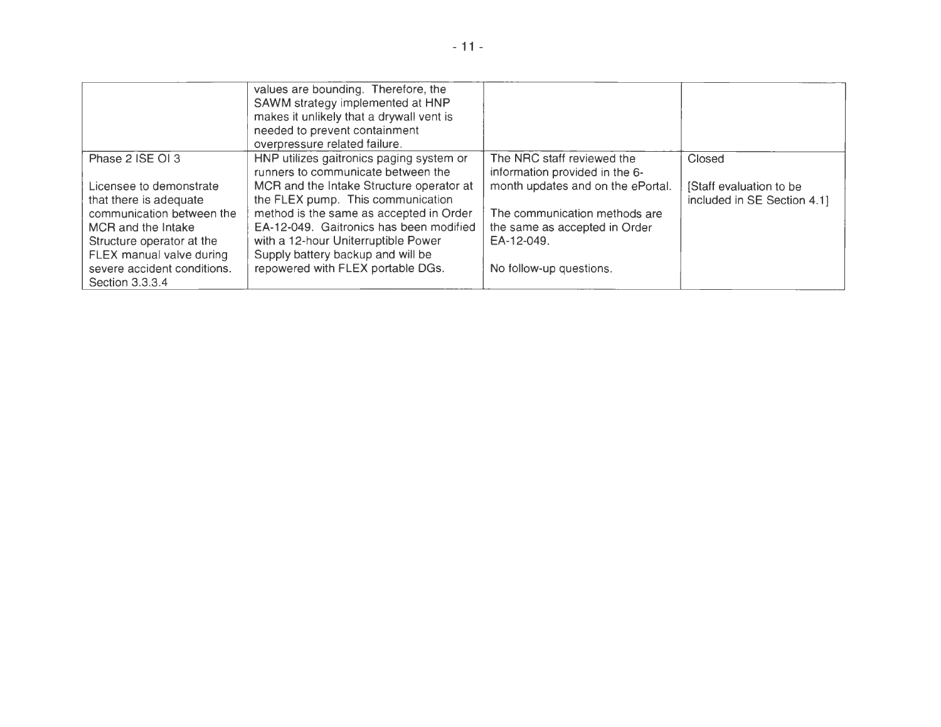|                                                   | values are bounding. Therefore, the<br>SAWM strategy implemented at HNP<br>makes it unlikely that a drywall vent is<br>needed to prevent containment<br>overpressure related failure. |                                                              |                                                        |
|---------------------------------------------------|---------------------------------------------------------------------------------------------------------------------------------------------------------------------------------------|--------------------------------------------------------------|--------------------------------------------------------|
| Phase 2 ISE OI 3                                  | HNP utilizes gaitronics paging system or<br>runners to communicate between the                                                                                                        | The NRC staff reviewed the<br>information provided in the 6- | Closed                                                 |
| Licensee to demonstrate<br>that there is adequate | MCR and the Intake Structure operator at<br>the FLEX pump. This communication                                                                                                         | month updates and on the ePortal.                            | [Staff evaluation to be<br>included in SE Section 4.1] |
| communication between the                         | method is the same as accepted in Order                                                                                                                                               | The communication methods are                                |                                                        |
| MCR and the Intake<br>Structure operator at the   | EA-12-049. Gaitronics has been modified<br>with a 12-hour Uniterruptible Power                                                                                                        | the same as accepted in Order<br>EA-12-049.                  |                                                        |
| FLEX manual valve during                          | Supply battery backup and will be                                                                                                                                                     |                                                              |                                                        |
| severe accident conditions.<br>Section 3.3.3.4    | repowered with FLEX portable DGs.                                                                                                                                                     | No follow-up questions.                                      |                                                        |